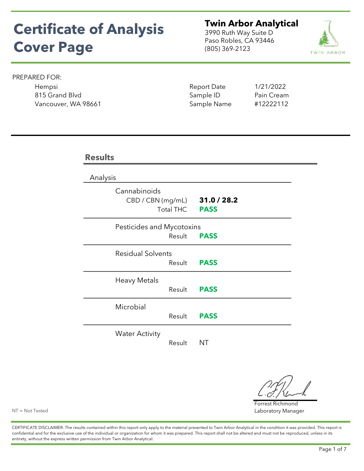# Certificate of Analysis Cover Page

**Twin Arbor Analytical**<br>3990 Ruth Way Suite D<br>Paso Robles, CA 93446<br>(805) 369-2123 3990 Ruth Way Suite D Paso Robles, CA 93446 (805) 369-2123



### PREPARED FOR:

Hempsi Report Date 1/21/2022 815 Grand Blvd Sample ID Pain Cream Vancouver, WA 98661 Sample Name #12222112

| <b>Results</b>                    |                  |                            |  |
|-----------------------------------|------------------|----------------------------|--|
| Analysis                          |                  |                            |  |
| Cannabinoids<br>CBD / CBN (mg/mL) | <b>Total THC</b> | 31.0 / 28.2<br><b>PASS</b> |  |
| Pesticides and Mycotoxins         | Result           | <b>PASS</b>                |  |
| <b>Residual Solvents</b>          | Result           | <b>PASS</b>                |  |
| <b>Heavy Metals</b>               | Result           | <b>PASS</b>                |  |
| Microbial                         | Result           | <b>PASS</b>                |  |
| <b>Water Activity</b>             | Result           | ΝT                         |  |

Forrest Richmond Laboratory Manager

NT = Not Tested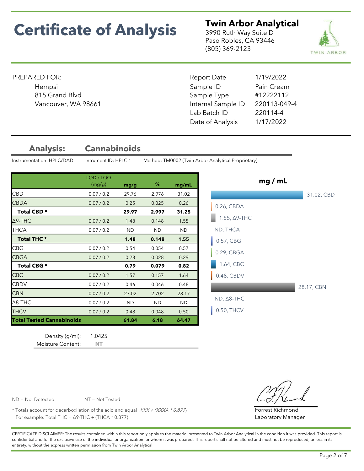**Twin Arbor Analytical**<br>3990 Ruth Way Suite D<br>Paso Robles, CA 93446<br>(805) 369-2123 3990 Ruth Way Suite D Paso Robles, CA 93446 (805) 369-2123



### PREPARED FOR:

Sample ID Date of Analysis 1/17/2022 Vancouver, WA 98661 **Internal Sample ID** 220113-049-4 Lab Batch ID 220114-4 815 Grand Blvd Sample Type #12222112 Report Date 1/19/2022 Hempsi **Example 12 August 2018** Sample ID Pain Cream

Analysis: Cannabinoids

Instrumentation: HPLC/DAD Intrument ID: HPLC 1 Method: TM0002 (Twin Arbor Analytical Proprietary)

|                                  | LOD / LOQ  |           |           |           |
|----------------------------------|------------|-----------|-----------|-----------|
|                                  | (mg/g)     | mg/g      | %         | mg/mL     |
| <b>CBD</b>                       | 0.07 / 0.2 | 29.76     | 2.976     | 31.02     |
| <b>CBDA</b>                      | 0.07 / 0.2 | 0.25      | 0.025     | 0.26      |
| Total CBD *                      |            | 29.97     | 2.997     | 31.25     |
| $\Delta$ 9-THC                   | 0.07 / 0.2 | 1.48      | 0.148     | 1.55      |
| THCA                             | 0.07 / 0.2 | <b>ND</b> | <b>ND</b> | ND.       |
| <b>Total THC *</b>               |            | 1.48      | 0.148     | 1.55      |
| <b>CBG</b>                       | 0.07 / 0.2 | 0.54      | 0.054     | 0.57      |
| <b>CBGA</b>                      | 0.07 / 0.2 | 0.28      | 0.028     | 0.29      |
| Total CBG *                      |            | 0.79      | 0.079     | 0.82      |
| <b>CBC</b>                       | 0.07 / 0.2 | 1.57      | 0.157     | 1.64      |
| <b>CBDV</b>                      | 0.07 / 0.2 | 0.46      | 0.046     | 0.48      |
| <b>CBN</b>                       | 0.07 / 0.2 | 27.02     | 2.702     | 28.17     |
| $\Delta$ 8-THC                   | 0.07 / 0.2 | <b>ND</b> | <b>ND</b> | <b>ND</b> |
| <b>THCV</b>                      | 0.07 / 0.2 | 0.48      | 0.048     | 0.50      |
| <b>Total Tested Cannabinoids</b> |            | 61.84     | 6.18      | 64.47     |

Density (g/ml): 1.0425 Moisture Content: NT



Forrest Richmond Laboratory Manager

ND = Not Detected NT = Not Tested

\* Totals account for decarboxilation of the acid and equal  $XXX + (XXXA * 0.877)$ For example: Total THC =  $\Delta$ 9-THC + (THCA \* 0.877)

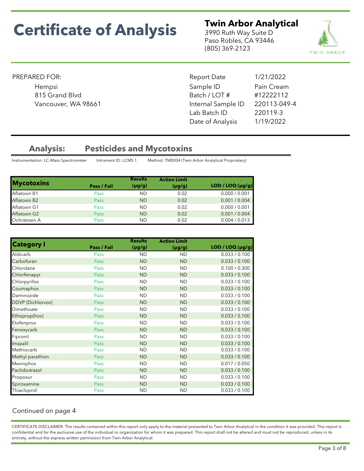**Twin Arbor Analytical**<br>3990 Ruth Way Suite D<br>Paso Robles, CA 93446<br>(805) 369-2123<br>**TWIN ARBOR** 3990 Ruth Way Suite D Paso Robles, CA 93446 (805) 369-2123



### PREPARED FOR:

Sample ID Report Date 1/21/2022 Hempsi **Example 19** Sample ID Pain Cream 815 Grand Blvd Batch / LOT # #12222112 Vancouver, WA 98661 **Internal Sample ID** 220113-049-4 Lab Batch ID 220119-3 Date of Analysis 1/19/2022

## Analysis: Pesticides and Mycotoxins

Instrumentation: LC-Mass Spectrometer Intrument ID: LCMS 1 Method: TM0004 (Twin Arbor Analytical Proprietary)

|                     |             | <b>Results</b> | <b>Action Limit</b> |                  |
|---------------------|-------------|----------------|---------------------|------------------|
| <b>Mycotoxins</b>   | Pass / Fail | $(\mu g/g)$    | $(\mu g/g)$         | LOD / LOQ (µg/g) |
| Aflatoxin B1        | Pass        | <b>ND</b>      | 0.02                | 0.000 / 0.001    |
| <b>Aflatoxin B2</b> | Pass        | <b>ND</b>      | 0.02                | 0.001 / 0.004    |
| Aflatoxin G1        | Pass        | <b>ND</b>      | 0.02                | 0.000 / 0.001    |
| Aflatoxin G2        | Pass        | <b>ND</b>      | 0.02                | 0.001 / 0.004    |
| Ochratoxin A        | Pass        | <b>ND</b>      | 0.02                | 0.004 / 0.013    |

| <b>Category I</b>        |             | <b>Results</b> | <b>Action Limit</b> |                  |
|--------------------------|-------------|----------------|---------------------|------------------|
|                          | Pass / Fail | $(\mu g/g)$    | $(\mu g/g)$         | LOD / LOQ (µg/g) |
| Aldicarb                 | Pass        | <b>ND</b>      | <b>ND</b>           | 0.033 / 0.100    |
| Carbofuran               | Pass        | <b>ND</b>      | <b>ND</b>           | 0.033 / 0.100    |
| Chlordane                | Pass        | <b>ND</b>      | <b>ND</b>           | 0.100 / 0.300    |
| Chlorfenapyr             | Pass        | <b>ND</b>      | <b>ND</b>           | 0.033 / 0.100    |
| Chlorpyrifos             | Pass        | <b>ND</b>      | <b>ND</b>           | 0.033 / 0.100    |
| Coumaphos                | Pass        | <b>ND</b>      | <b>ND</b>           | 0.033 / 0.100    |
| Daminozide               | Pass        | <b>ND</b>      | <b>ND</b>           | 0.033 / 0.100    |
| <b>DDVP</b> (Dichlorvos) | Pass        | <b>ND</b>      | <b>ND</b>           | 0.033 / 0.100    |
| Dimethoate               | Pass        | <b>ND</b>      | <b>ND</b>           | 0.033 / 0.100    |
| Ethoprop(hos)            | Pass        | <b>ND</b>      | <b>ND</b>           | 0.033 / 0.100    |
| Etofenprox               | Pass        | <b>ND</b>      | <b>ND</b>           | 0.033 / 0.100    |
| Fenoxycarb               | Pass        | <b>ND</b>      | <b>ND</b>           | 0.033 / 0.100    |
| Fipronil                 | Pass        | <b>ND</b>      | <b>ND</b>           | 0.033 / 0.100    |
| Imazalil                 | Pass        | <b>ND</b>      | <b>ND</b>           | 0.033 / 0.100    |
| Methiocarb               | Pass        | <b>ND</b>      | <b>ND</b>           | 0.033 / 0.100    |
| Methyl parathion         | Pass        | <b>ND</b>      | <b>ND</b>           | 0.033 / 0.100    |
| Mevinphos                | Pass        | <b>ND</b>      | <b>ND</b>           | 0.017 / 0.050    |
| Paclobutrazol            | Pass        | <b>ND</b>      | <b>ND</b>           | 0.033 / 0.100    |
| Propoxur                 | Pass        | <b>ND</b>      | <b>ND</b>           | 0.033 / 0.100    |
| Spiroxamine              | Pass        | <b>ND</b>      | <b>ND</b>           | 0.033 / 0.100    |
| Thiacloprid              | Pass        | <b>ND</b>      | <b>ND</b>           | 0.033 / 0.100    |

## Continued on page 4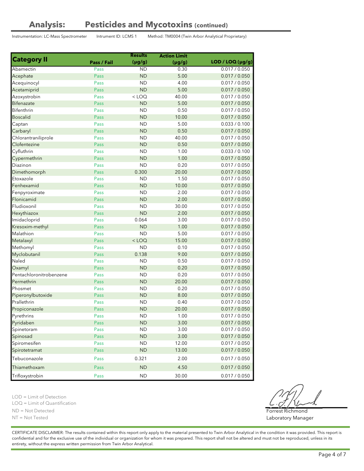## Analysis: Pesticides and Mycotoxins (continued)

Instrumentation: LC-Mass Spectrometer Intrument ID: LCMS 1 Method: TM0004 (Twin Arbor Analytical Proprietary)

|                         |             | <b>Results</b> | <b>Action Limit</b> |                  |
|-------------------------|-------------|----------------|---------------------|------------------|
| <b>Category II</b>      | Pass / Fail | $(\mu g/g)$    | $(\mu g/g)$         | LOD / LOQ (µg/g) |
| Abamectin               | Pass        | <b>ND</b>      | 0.30                | 0.017 / 0.050    |
| Acephate                | Pass        | <b>ND</b>      | 5.00                | 0.017 / 0.050    |
| Acequinocyl             | Pass        | <b>ND</b>      | 4.00                | 0.017 / 0.050    |
| Acetamiprid             | <b>Pass</b> | <b>ND</b>      | 5.00                | 0.017 / 0.050    |
| Azoxystrobin            | Pass        | $<$ LOQ        | 40.00               | 0.017 / 0.050    |
| <b>Bifenazate</b>       | <b>Pass</b> | <b>ND</b>      | 5.00                | 0.017 / 0.050    |
| Bifenthrin              | Pass        | <b>ND</b>      | 0.50                | 0.017 / 0.050    |
| <b>Boscalid</b>         | Pass        | <b>ND</b>      | 10.00               | 0.017 / 0.050    |
| Captan                  | Pass        | <b>ND</b>      | 5.00                | 0.033 / 0.100    |
| Carbaryl                | Pass        | <b>ND</b>      | 0.50                | 0.017 / 0.050    |
| Chlorantraniliprole     | Pass        | <b>ND</b>      | 40.00               | 0.017 / 0.050    |
| Clofentezine            | Pass        | <b>ND</b>      | 0.50                | 0.017 / 0.050    |
| Cyfluthrin              | Pass        | <b>ND</b>      | 1.00                | 0.033 / 0.100    |
| Cypermethrin            | Pass        | <b>ND</b>      | 1.00                | 0.017 / 0.050    |
| Diazinon                | Pass        | <b>ND</b>      | 0.20                | 0.017 / 0.050    |
| Dimethomorph            | Pass        | 0.300          | 20.00               | 0.017 / 0.050    |
| Etoxazole               | Pass        | <b>ND</b>      | 1.50                | 0.017 / 0.050    |
| Fenhexamid              | Pass        | <b>ND</b>      | 10.00               | 0.017 / 0.050    |
| Fenpyroximate           | Pass        | <b>ND</b>      | 2.00                | 0.017 / 0.050    |
| Flonicamid              | Pass        | <b>ND</b>      | 2.00                | 0.017 / 0.050    |
| Fludioxonil             | Pass        | <b>ND</b>      | 30.00               | 0.017 / 0.050    |
| Hexythiazox             | Pass        | <b>ND</b>      | 2.00                | 0.017 / 0.050    |
| Imidacloprid            | Pass        | 0.064          | 3.00                | 0.017 / 0.050    |
| Kresoxim-methyl         | Pass        | <b>ND</b>      | 1.00                | 0.017 / 0.050    |
| Malathion               | Pass        | <b>ND</b>      | 5.00                | 0.017 / 0.050    |
| Metalaxyl               | Pass        | $<$ LOQ        | 15.00               | 0.017 / 0.050    |
| Methomyl                | Pass        | <b>ND</b>      | 0.10                | 0.017 / 0.050    |
| Myclobutanil            | Pass        | 0.138          | 9.00                | 0.017 / 0.050    |
| Naled                   | Pass        | <b>ND</b>      | 0.50                | 0.017 / 0.050    |
| Oxamyl                  | Pass        | <b>ND</b>      | 0.20                | 0.017 / 0.050    |
| Pentachloronitrobenzene | Pass        | <b>ND</b>      | 0.20                | 0.017 / 0.050    |
| Permethrin              | Pass        | <b>ND</b>      | 20.00               | 0.017 / 0.050    |
| Phosmet                 | Pass        | <b>ND</b>      | 0.20                | 0.017 / 0.050    |
| Piperonylbutoxide       | Pass        | <b>ND</b>      | 8.00                | 0.017 / 0.050    |
| Prallethrin             | Pass        | <b>ND</b>      | 0.40                | 0.017 / 0.050    |
| Propiconazole           | <b>Pass</b> | <b>ND</b>      | 20.00               | 0.017 / 0.050    |
| Pyrethrins              | Pass        | <b>ND</b>      | 1.00                | 0.017 / 0.050    |
| Pyridaben               | Pass        | <b>ND</b>      | 3.00                | 0.017 / 0.050    |
| Spinetoram              | Pass        | <b>ND</b>      | 3.00                | 0.017 / 0.050    |
| Spinosad                | Pass        | <b>ND</b>      | 3.00                | 0.017 / 0.050    |
| Spiromesifen            | Pass        | <b>ND</b>      | 12.00               | 0.017 / 0.050    |
| Spirotetramat           | Pass        | <b>ND</b>      | 13.00               | 0.017 / 0.050    |
|                         |             |                |                     |                  |
| Tebuconazole            | Pass        | 0.321          | 2.00                | 0.017 / 0.050    |
| Thiamethoxam            | Pass        | <b>ND</b>      | 4.50                | 0.017 / 0.050    |
| Trifloxystrobin         | Pass        | <b>ND</b>      | 30.00               | 0.017 / 0.050    |

LOD = Limit of Detection

LOQ = Limit of Quantification

ND = Not Detected

NT = Not Tested

CERTIFICATE DISCLAIMER: The results contained within this report only apply to the material presented to Twin Arbor Analytical in the condition it was provided. This report is confidential and for the exclusive use of the individual or organization for whom it was prepared. This report shall not be altered and must not be reproduced, unless in its entirety, without the express written permission from Twin Arbor Analytical.

Forrest Richmond Laboratory Manager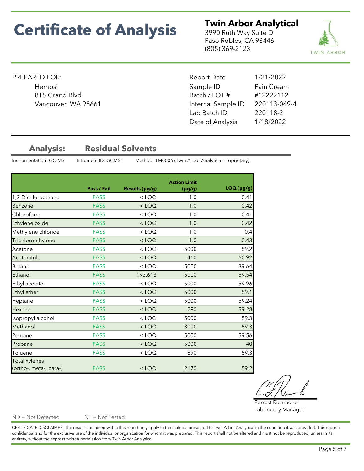**Twin Arbor Analytical**<br>3990 Ruth Way Suite D<br>Paso Robles, CA 93446<br>(805) 369-2123 3990 Ruth Way Suite D Paso Robles, CA 93446 (805) 369-2123



### PREPARED FOR:

Vancouver, WA 98661 **Internal Sample ID** 

Sample ID 815 Grand Blvd Batch / LOT # #12222112 Report Date 1/21/2022 Hempsi **Example 19** Sample ID Pain Cream 220113-049-4 Lab Batch ID 220118-2 Date of Analysis 1/18/2022

## Analysis: Residual Solvents

Instrumentation: GC-MS Intrument ID: GCMS1 Method: TM0006 (Twin Arbor Analytical Proprietary)

|                        |             |                | <b>Action Limit</b> |           |
|------------------------|-------------|----------------|---------------------|-----------|
|                        | Pass / Fail | Results (µg/g) | $(\mu g/g)$         | LOQ(pg/g) |
| 1,2-Dichloroethane     | <b>PASS</b> | $<$ LOQ        | 1.0                 | 0.41      |
| Benzene                | <b>PASS</b> | $<$ LOQ        | 1.0                 | 0.42      |
| Chloroform             | <b>PASS</b> | $<$ LOQ        | 1.0                 | 0.41      |
| Ethylene oxide         | <b>PASS</b> | $<$ LOQ        | 1.0                 | 0.42      |
| Methylene chloride     | <b>PASS</b> | $<$ LOQ        | 1.0                 | 0.4       |
| Trichloroethylene      | <b>PASS</b> | $<$ LOQ        | 1.0                 | 0.43      |
| Acetone                | <b>PASS</b> | $<$ LOQ        | 5000                | 59.2      |
| Acetonitrile           | <b>PASS</b> | $<$ LOQ        | 410                 | 60.92     |
| <b>Butane</b>          | <b>PASS</b> | $<$ LOQ        | 5000                | 39.64     |
| Ethanol                | <b>PASS</b> | 193.613        | 5000                | 59.54     |
| Ethyl acetate          | <b>PASS</b> | $<$ LOQ        | 5000                | 59.96     |
| Ethyl ether            | <b>PASS</b> | $<$ LOQ        | 5000                | 59.1      |
| Heptane                | <b>PASS</b> | $<$ LOQ        | 5000                | 59.24     |
| Hexane                 | <b>PASS</b> | $<$ LOQ        | 290                 | 59.28     |
| Isopropyl alcohol      | <b>PASS</b> | $<$ LOQ        | 5000                | 59.3      |
| Methanol               | <b>PASS</b> | $<$ LOQ        | 3000                | 59.3      |
| Pentane                | <b>PASS</b> | $<$ LOQ        | 5000                | 59.56     |
| Propane                | <b>PASS</b> | $<$ LOQ        | 5000                | 40        |
| Toluene                | <b>PASS</b> | $<$ LOQ        | 890                 | 59.3      |
| <b>Total xylenes</b>   |             |                |                     |           |
| (ortho-, meta-, para-) | <b>PASS</b> | $<$ LOQ        | 2170                | 59.2      |

Forrest Richmond Laboratory Manager

ND = Not Detected NT = Not Tested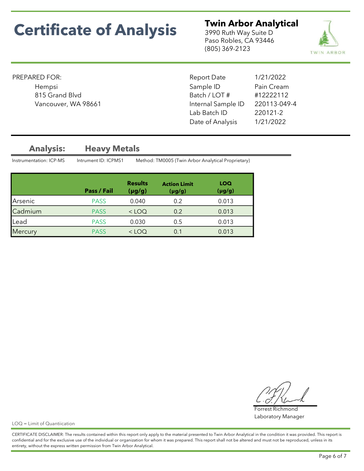**Twin Arbor Analytical**<br>3990 Ruth Way Suite D<br>Paso Robles, CA 93446<br>(805) 369-2123 3990 Ruth Way Suite D Paso Robles, CA 93446 (805) 369-2123



### PREPARED FOR:

Vancouver, WA 98661 **Internal Sample ID** 

Sample ID 220113-049-4 Lab Batch ID 220121-2 Date of Analysis 1/21/2022 815 Grand Blvd Batch / LOT # #12222112 Report Date 1/21/2022 Hempsi **Example 19** Sample ID Pain Cream

## Analysis: Heavy Metals

Instrumentation: ICP-MS Intrument ID: ICPMS1 Method: TM0005 (Twin Arbor Analytical Proprietary)

|         | Pass / Fail | <b>Results</b><br>(µg/g) | <b>Action Limit</b><br>$(\mu g/g)$ | LOQ<br>$(\mu g/g)$ |
|---------|-------------|--------------------------|------------------------------------|--------------------|
| Arsenic | <b>PASS</b> | 0.040                    | 0.2                                | 0.013              |
| Cadmium | <b>PASS</b> | $<$ LOQ                  | 0.2                                | 0.013              |
| Lead    | <b>PASS</b> | 0.030                    | 0.5                                | 0.013              |
| Mercury | <b>PASS</b> | $<$ LOO                  | 0.1                                | 0.013              |

Forrest Richmond Laboratory Manager

LOQ = Limit of Quantiication